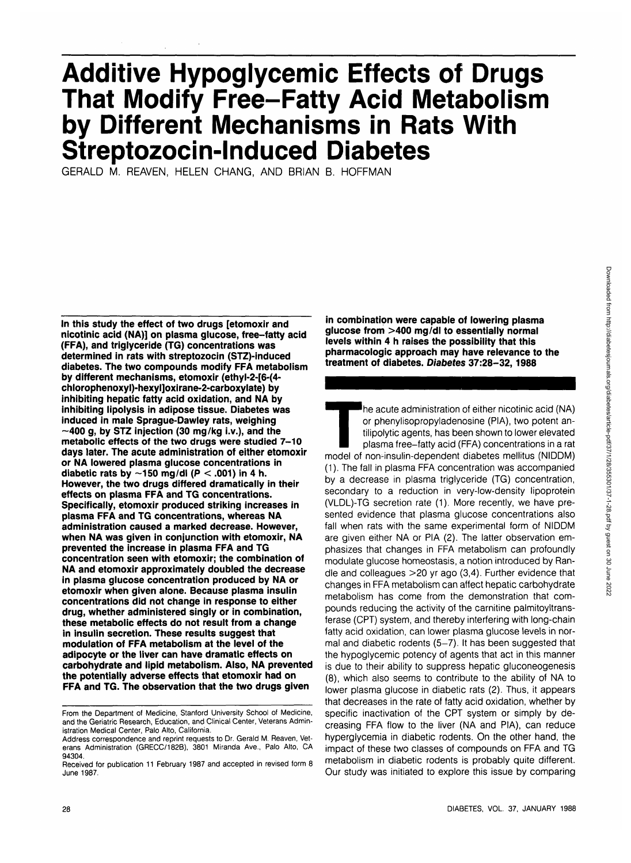# **Additive Hypoglycemic Effects of Drugs That Modify Free-Fatty Acid Metabolism by Different Mechanisms in Rats With Streptozocin-lnduced Diabetes**

GERALD M. REAVEN, HELEN CHANG, AND BRIAN B. HOFFMAN

**In this study the effect of two drugs [etomoxir and nicotinic acid (NA)] on plasma glucose, free-fatty acid (FFA), and triglyceride (TG) concentrations was determined in rats with streptozocin (STZ)-induced diabetes. The two compounds modify FFA metabolism by different mechanisms, etomoxir (ethyl-2-[6-(4 chlorophenoxyl)-hexyl]oxirane-2-carboxylate) by inhibiting hepatic fatty acid oxidation, and NA by inhibiting lipolysis in adipose tissue. Diabetes was induced in male Sprague-Dawley rats, weighing -400 g, by STZ injection (30 mg/kg i.v.), and the metabolic effects of the two drugs were studied 7-10 days later. The acute administration of either etomoxir or NA lowered plasma glucose concentrations in** diabetic rats by  $\sim$ 150 mg/dl (P < .001) in 4 h. **However, the two drugs differed dramatically in their effects on plasma FFA and TG concentrations. Specifically, etomoxir produced striking increases in plasma FFA and TG concentrations, whereas NA administration caused a marked decrease. However, when NA was given in conjunction with etomoxir, NA prevented the increase in plasma FFA and TG concentration seen with etomoxir; the combination of NA and etomoxir approximately doubled the decrease in plasma glucose concentration produced by NA or etomoxir when given alone. Because plasma insulin concentrations did not change in response to either drug, whether administered singly or in combination, these metabolic effects do not result from a change in insulin secretion. These results suggest that modulation of FFA metabolism at the level of the adipocyte or the liver can have dramatic effects on carbohydrate and lipid metabolism. Also, NA prevented the potentially adverse effects that etomoxir had on FFA and TG. The observation that the two drugs given**

**in combination were capable of lowering plasma glucose from >400 mg/dl to essentially normal levels within 4 h raises the possibility that this pharmacologic approach may have relevance to the treatment of diabetes. Diabetes 37:28-32,1988**

The acute administration of either nicotinic acid (NA) or phenylisopropyladenosine (PIA), two potent antilipolytic agents, has been shown to lower elevated plasma free-fatty acid (FFA) concentrations in a rat model of nonor phenylisopropyladenosine (PIA), two potent antilipolytic agents, has been shown to lower elevated plasma free-fatty acid (FFA) concentrations in a rat (1). The fall in plasma FFA concentration was accompanied by a decrease in plasma triglyceride (TG) concentration, secondary to a reduction in very-low-density lipoprotein (VLDL)-TG secretion rate (1). More recently, we have presented evidence that plasma glucose concentrations also fall when rats with the same experimental form of NIDDM are given either NA or PIA (2). The latter observation emphasizes that changes in FFA metabolism can profoundly modulate glucose homeostasis, a notion introduced by Randle and colleagues >20 yr ago (3,4). Further evidence that changes in FFA metabolism can affect hepatic carbohydrate metabolism has come from the demonstration that compounds reducing the activity of the carnitine palmitoyltransferase (CPT) system, and thereby interfering with long-chain fatty acid oxidation, can lower plasma glucose levels in normal and diabetic rodents (5-7). It has been suggested that the hypoglycemic potency of agents that act in this manner is due to their ability to suppress hepatic gluconeogenesis (8), which also seems to contribute to the ability of NA to lower plasma glucose in diabetic rats (2). Thus, it appears that decreases in the rate of fatty acid oxidation, whether by specific inactivation of the CPT system or simply by decreasing FFA flow to the liver (NA and PIA), can reduce hyperglycemia in diabetic rodents. On the other hand, the impact of these two classes of compounds on FFA and TG metabolism in diabetic rodents is probably quite different. Our study was initiated to explore this issue by comparing

From the Department of Medicine, Stanford University School of Medicine, and the Geriatric Research, Education, and Clinical Center, Veterans Administration Medical Center, Palo Alto, California.

Address correspondence and reprint requests to Dr. Gerald M. Reaven, Veterans Administration (GRECC/182B), 3801 Miranda Ave., Palo Alto, CA 94304.

Received for publication 11 February 1987 and accepted in revised form 8 June 1987.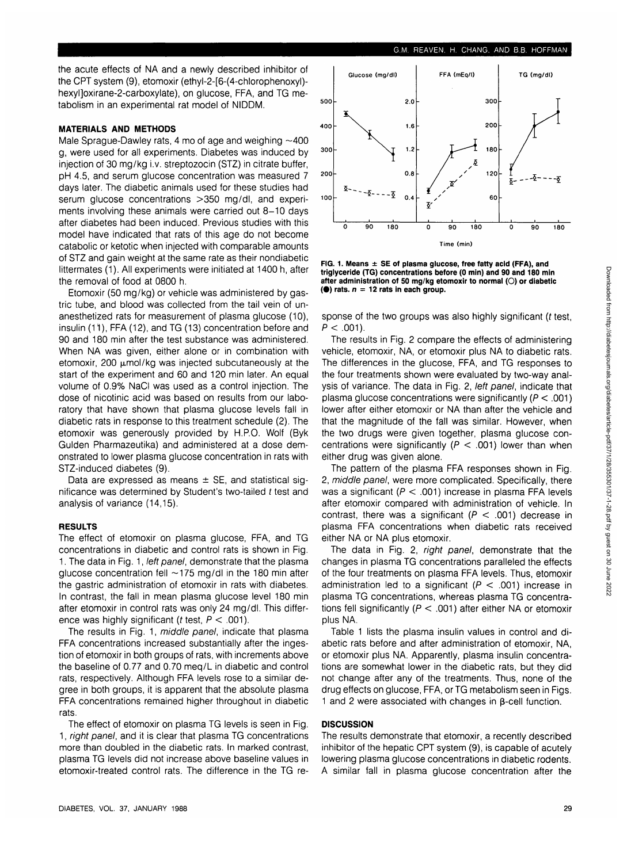the acute effects of NA and a newly described inhibitor of the CPT system (9), etomoxir (ethyl-2-[6-(4-chlorophenoxyl)hexyl]oxirane-2-carboxylate), on glucose, FFA, and TG metabolism in an experimental rat model of NIDDM.

## **MATERIALS AND METHODS**

Male Sprague-Dawley rats, 4 mo of age and weighing  $\sim$ 400 g, were used for all experiments. Diabetes was induced by injection of 30 mg/kg i.v. streptozocin (STZ) in citrate buffer, pH 4.5, and serum glucose concentration was measured 7 days later. The diabetic animals used for these studies had serum glucose concentrations >350 mg/dl, and experiments involving these animals were carried out 8-10 days after diabetes had been induced. Previous studies with this model have indicated that rats of this age do not become catabolic or ketotic when injected with comparable amounts of STZ and gain weight at the same rate as their nondiabetic littermates (1). All experiments were initiated at 1400 h, after the removal of food at 0800 h.

Etomoxir (50 mg/kg) or vehicle was administered by gastric tube, and blood was collected from the tail vein of unanesthetized rats for measurement of plasma glucose (10), insulin (11), FFA (12), and TG (13) concentration before and 90 and 180 min after the test substance was administered. When NA was given, either alone or in combination with etomoxir, 200  $\mu$ mol/kg was injected subcutaneously at the start of the experiment and 60 and 120 min later. An equal volume of 0.9% NaCI was used as a control injection. The dose of nicotinic acid was based on results from our laboratory that have shown that plasma glucose levels fall in diabetic rats in response to this treatment schedule (2). The etomoxir was generously provided by H.P.O. Wolf (Byk Gulden Pharmazeutika) and administered at a dose demonstrated to lower plasma glucose concentration in rats with STZ-induced diabetes (9).

Data are expressed as means  $\pm$  SE, and statistical significance was determined by Student's two-tailed  $t$  test and analysis of variance (14,15).

#### **RESULTS**

The effect of etomoxir on plasma glucose, FFA, and TG concentrations in diabetic and control rats is shown in Fig. 1. The data in Fig. 1, left panel, demonstrate that the plasma glucose concentration fell  $\sim$ 175 mg/dl in the 180 min after the gastric administration of etomoxir in rats with diabetes. In contrast, the fall in mean plasma glucose level 180 min after etomoxir in control rats was only 24 mg/dl. This difference was highly significant (t test,  $P < .001$ ).

The results in Fig. 1, middle panel, indicate that plasma FFA concentrations increased substantially after the ingestion of etomoxir in both groups of rats, with increments above the baseline of 0.77 and 0.70 meq/L in diabetic and control rats, respectively. Although FFA levels rose to a similar degree in both groups, it is apparent that the absolute plasma FFA concentrations remained higher throughout in diabetic rats.

The effect of etomoxir on plasma TG levels is seen in Fig. 1, right panel, and it is clear that plasma TG concentrations more than doubled in the diabetic rats. In marked contrast, plasma TG levels did not increase above baseline values in etomoxir-treated control rats. The difference in the TG re-



**FIG. 1. Means ± SE of plasma glucose, free fatty acid (FFA), and triglyceride (TG) concentrations before (0 min) and 90 and 180 min after administration of 50 mg/kg etomoxir to normal (O) or diabetic (** $\bullet$ **)** rats,  $n = 12$  rats in each group.

sponse of the two groups was also highly significant (t test,  $P < .001$ ).

The results in Fig. 2 compare the effects of administering vehicle, etomoxir, NA, or etomoxir plus NA to diabetic rats. The differences in the glucose, FFA, and TG responses to the four treatments shown were evaluated by two-way analysis of variance. The data in Fig. 2, left panel, indicate that plasma glucose concentrations were significantly ( $P < .001$ ) lower after either etomoxir or NA than after the vehicle and that the magnitude of the fall was similar. However, when the two drugs were given together, plasma glucose concentrations were significantly ( $P < .001$ ) lower than when either drug was given alone.

The pattern of the plasma FFA responses shown in Fig. 2, middle panel, were more complicated. Specifically, there was a significant ( $P < .001$ ) increase in plasma FFA levels after etomoxir compared with administration of vehicle. In contrast, there was a significant ( $P < .001$ ) decrease in plasma FFA concentrations when diabetic rats received either NA or NA plus etomoxir.

The data in Fig. 2, right panel, demonstrate that the changes in plasma TG concentrations paralleled the effects of the four treatments on plasma FFA levels. Thus, etomoxir administration led to a significant ( $P < .001$ ) increase in plasma TG concentrations, whereas plasma TG concentrations fell significantly ( $P < .001$ ) after either NA or etomoxir plus NA.

Table 1 lists the plasma insulin values in control and diabetic rats before and after administration of etomoxir, NA, or etomoxir plus NA. Apparently, plasma insulin concentrations are somewhat lower in the diabetic rats, but they did not change after any of the treatments. Thus, none of the drug effects on glucose, FFA, or TG metabolism seen in Figs. 1 and 2 were associated with changes in  $\beta$ -cell function.

## **DISCUSSION**

The results demonstrate that etomoxir, a recently described inhibitor of the hepatic CPT system (9), is capable of acutely lowering plasma glucose concentrations in diabetic rodents. A similar fall in plasma glucose concentration after the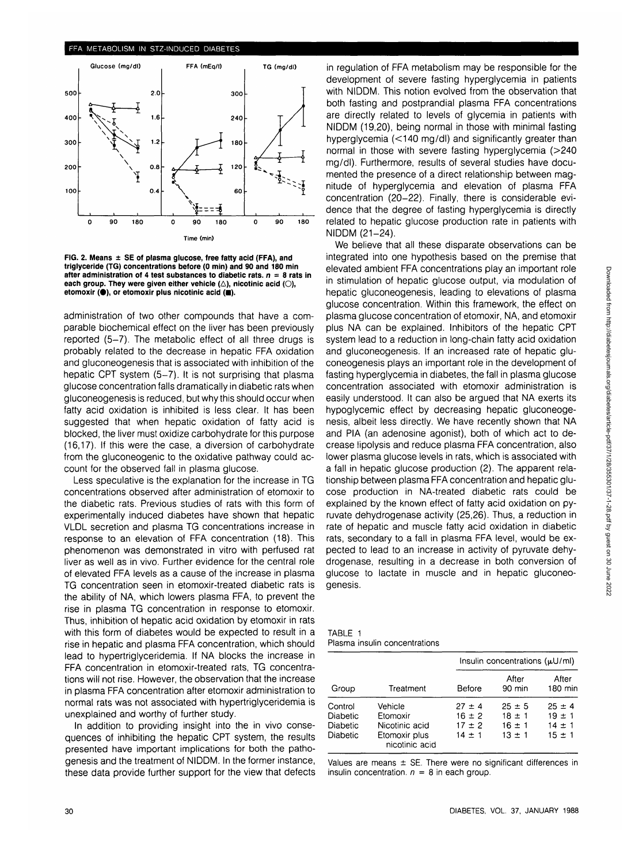

**FIG. 2. Means ± SE of plasma glucose, free fatty acid (FFA), and triglyceride (TG) concentrations before (0 min) and 90 and 180 min** after administration of 4 test substances to diabetic rats,  $n = 8$  rats in each group. They were given either vehicle ( $\triangle$ ), nicotinic acid ( $\bigcirc$ ), **etomoxir (0), or etomoxir plus nicotinic acid (2).** 

administration of two other compounds that have a comparable biochemical effect on the liver has been previously reported (5-7). The metabolic effect of all three drugs is probably related to the decrease in hepatic FFA oxidation and gluconeogenesis that is associated with inhibition of the hepatic CPT system (5-7). It is not surprising that plasma glucose concentration falls dramatically in diabetic rats when gluconeogenesis is reduced, but why this should occur when fatty acid oxidation is inhibited is less clear. It has been suggested that when hepatic oxidation of fatty acid is blocked, the liver must oxidize carbohydrate for this purpose (16,17). If this were the case, a diversion of carbohydrate from the gluconeogenic to the oxidative pathway could account for the observed fall in plasma glucose.

Less speculative is the explanation for the increase in TG concentrations observed after administration of etomoxir to the diabetic rats. Previous studies of rats with this form of experimentally induced diabetes have shown that hepatic VLDL secretion and plasma TG concentrations increase in response to an elevation of FFA concentration (18). This phenomenon was demonstrated in vitro with perfused rat liver as well as in vivo. Further evidence for the central role of elevated FFA levels as a cause of the increase in plasma TG concentration seen in etomoxir-treated diabetic rats is the ability of NA, which lowers plasma FFA, to prevent the rise in plasma TG concentration in response to etomoxir. Thus, inhibition of hepatic acid oxidation by etomoxir in rats with this form of diabetes would be expected to result in a rise in hepatic and plasma FFA concentration, which should lead to hypertriglyceridemia. If NA blocks the increase in FFA concentration in etomoxir-treated rats, TG concentrations will not rise. However, the observation that the increase in plasma FFA concentration after etomoxir administration to normal rats was not associated with hypertriglyceridemia is unexplained and worthy of further study.

In addition to providing insight into the in vivo consequences of inhibiting the hepatic CPT system, the results presented have important implications for both the pathogenesis and the treatment of NIDDM. In the former instance, these data provide further support for the view that defects in regulation of FFA metabolism may be responsible for the development of severe fasting hyperglycemia in patients with NIDDM. This notion evolved from the observation that both fasting and postprandial plasma FFA concentrations are directly related to levels of glycemia in patients with NIDDM (19,20), being normal in those with minimal fasting hyperglycemia (<140 mg/dl) and significantly greater than normal in those with severe fasting hyperglycemia (>240 mg/dl). Furthermore, results of several studies have documented the presence of a direct relationship between magnitude of hyperglycemia and elevation of plasma FFA concentration (20-22). Finally, there is considerable evidence that the degree of fasting hyperglycemia is directly related to hepatic glucose production rate in patients with NIDDM (21-24).

We believe that all these disparate observations can be integrated into one hypothesis based on the premise that elevated ambient FFA concentrations play an important role in stimulation of hepatic glucose output, via modulation of hepatic gluconeogenesis, leading to elevations of plasma glucose concentration. Within this framework, the effect on plasma glucose concentration of etomoxir, NA, and etomoxir plus NA can be explained. Inhibitors of the hepatic CPT system lead to a reduction in long-chain fatty acid oxidation and gluconeogenesis. If an increased rate of hepatic gluconeogenesis plays an important role in the development of fasting hyperglycemia in diabetes, the fall in plasma glucose concentration associated with etomoxir administration is easily understood. It can also be argued that NA exerts its hypoglycemic effect by decreasing hepatic gluconeogenesis, albeit less directly. We have recently shown that NA and PIA (an adenosine agonist), both of which act to decrease lipolysis and reduce plasma FFA concentration, also lower plasma glucose levels in rats, which is associated with a fall in hepatic glucose production (2). The apparent relationship between plasma FFA concentration and hepatic glucose production in NA-treated diabetic rats could be explained by the known effect of fatty acid oxidation on pyruvate dehydrogenase activity (25,26). Thus, a reduction in rate of hepatic and muscle fatty acid oxidation in diabetic rats, secondary to a fall in plasma FFA level, would be expected to lead to an increase in activity of pyruvate dehydrogenase, resulting in a decrease in both conversion of glucose to lactate in muscle and in hepatic gluconeogenesis.

| TABLE 1 |                               |
|---------|-------------------------------|
|         | Plasma insulin concentrations |

|                                             | Treatment                                                                | Insulin concentrations (µU/ml)                       |                                                      |                                                      |
|---------------------------------------------|--------------------------------------------------------------------------|------------------------------------------------------|------------------------------------------------------|------------------------------------------------------|
| Group                                       |                                                                          | Before                                               | After<br>90 min                                      | After<br>180 min                                     |
| Control<br>Diabetic<br>Diabetic<br>Diabetic | Vehicle<br>Etomoxir<br>Nicotinic acid<br>Etomoxir plus<br>nicotinic acid | $27 \pm 4$<br>$16 \pm 2$<br>$17 \pm 2$<br>$14 \pm 1$ | $25 \pm 5$<br>$18 \pm 1$<br>$16 \pm 1$<br>$13 \pm 1$ | $25 \pm 4$<br>$19 \pm 1$<br>$14 \pm 1$<br>$15 \pm 1$ |

Values are means  $\pm$  SE. There were no significant differences in insulin concentration,  $n = 8$  in each group.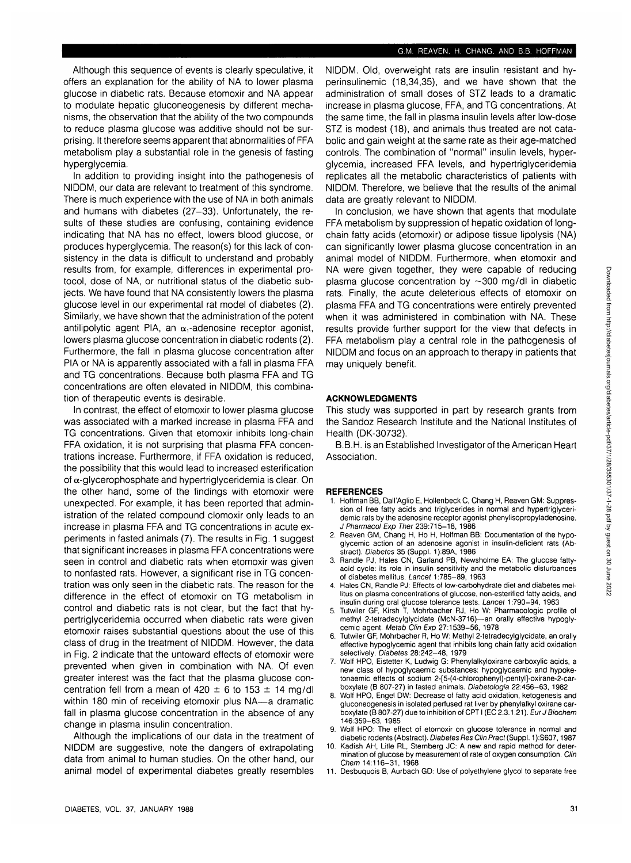# G.M. REAVEN. H. CHANG. AND B.B. HOFFMAN

Although this sequence of events is clearly speculative, it offers an explanation for the ability of NA to lower plasma glucose in diabetic rats. Because etomoxir and NA appear to modulate hepatic gluconeogenesis by different mechanisms, the observation that the ability of the two compounds to reduce plasma glucose was additive should not be surprising. It therefore seems apparent that abnormalities of FFA metabolism play a substantial role in the genesis of fasting hyperglycemia.

In addition to providing insight into the pathogenesis of NIDDM, our data are relevant to treatment of this syndrome. There is much experience with the use of NA in both animals and humans with diabetes (27-33). Unfortunately, the results of these studies are confusing, containing evidence indicating that NA has no effect, lowers blood glucose, or produces hyperglycemia. The reason(s) for this lack of consistency in the data is difficult to understand and probably results from, for example, differences in experimental protocol, dose of NA, or nutritional status of the diabetic subjects. We have found that NA consistently lowers the plasma glucose level in our experimental rat model of diabetes (2). Similarly, we have shown that the administration of the potent antilipolytic agent PIA, an  $\alpha_1$ -adenosine receptor agonist, lowers plasma glucose concentration in diabetic rodents (2). Furthermore, the fall in plasma glucose concentration after PIA or NA is apparently associated with a fall in plasma FFA and TG concentrations. Because both plasma FFA and TG concentrations are often elevated in NIDDM, this combination of therapeutic events is desirable.

In contrast, the effect of etomoxir to lower plasma glucose was associated with a marked increase in plasma FFA and TG concentrations. Given that etomoxir inhibits long-chain FFA oxidation, it is not surprising that plasma FFA concentrations increase. Furthermore, if FFA oxidation is reduced, the possibility that this would lead to increased esterification of  $\alpha$ -glycerophosphate and hypertriglyceridemia is clear. On the other hand, some of the findings with etomoxir were unexpected. For example, it has been reported that administration of the related compound clomoxir only leads to an increase in plasma FFA and TG concentrations in acute experiments in fasted animals (7). The results in Fig. 1 suggest that significant increases in plasma FFA concentrations were seen in control and diabetic rats when etomoxir was given to nonfasted rats. However, a significant rise in TG concentration was only seen in the diabetic rats. The reason for the difference in the effect of etomoxir on TG metabolism in control and diabetic rats is not clear, but the fact that hypertriglyceridemia occurred when diabetic rats were given etomoxir raises substantial questions about the use of this class of drug in the treatment of NIDDM. However, the data in Fig. 2 indicate that the untoward effects of etomoxir were prevented when given in combination with NA. Of even greater interest was the fact that the plasma glucose concentration fell from a mean of 420  $\pm$  6 to 153  $\pm$  14 mg/dl within 180 min of receiving etomoxir plus NA—a dramatic fall in plasma glucose concentration in the absence of any change in plasma insulin concentration.

Although the implications of our data in the treatment of NIDDM are suggestive, note the dangers of extrapolating data from animal to human studies. On the other hand, our animal model of experimental diabetes greatly resembles

NIDDM. Old, overweight rats are insulin resistant and hyperinsulinemic (18,34,35), and we have shown that the administration of small doses of STZ leads to a dramatic increase in plasma glucose, FFA, and TG concentrations. At the same time, the fall in plasma insulin levels after low-dose STZ is modest (18), and animals thus treated are not catabolic and gain weight at the same rate as their age-matched controls. The combination of "normal" insulin levels, hyperglycemia, increased FFA levels, and hypertriglyceridemia replicates all the metabolic characteristics of patients with NIDDM. Therefore, we believe that the results of the animal data are greatly relevant to NIDDM.

In conclusion, we have shown that agents that modulate FFA metabolism by suppression of hepatic oxidation of longchain fatty acids (etomoxir) or adipose tissue lipolysis (NA) can significantly lower plasma glucose concentration in an animal model of NIDDM. Furthermore, when etomoxir and NA were given together, they were capable of reducing plasma glucose concentration by  $\sim$ 300 mg/dl in diabetic rats. Finally, the acute deleterious effects of etomoxir on plasma FFA and TG concentrations were entirely prevented when it was administered in combination with NA. These results provide further support for the view that defects in FFA metabolism play a central role in the pathogenesis of NIDDM and focus on an approach to therapy in patients that may uniquely benefit.

### **ACKNOWLEDGMENTS**

This study was supported in part by research grants from the Sandoz Research Institute and the National Institutes of Health (DK-30732).

B.B.H. is an Established Investigator of the American Heart Association.

#### **REFERENCES**

- 1. Hoffman BB, Dall'Aglio E, Hollenbeck C, Chang H, Reaven GM: Suppression of free fatty acids and triglycerides in normal and hypertriglyceridemic rats by the adenosine receptor agonist phenylisopropyladenosine. J Pharmacol Exp Ther 239:715-18, 1986
- Reaven GM, Chang H, Ho H, Hoffman BB: Documentation of the hypoglycemic action of an adenosine agonist in insulin-deficient rats (Abstract). Diabetes 35 (Suppl. 1):89A, 1986
- 3. Randle PJ, Hales CN, Garland PB, Newsholme EA: The glucose fattyacid cycle: its role in insulin sensitivity and the metabolic disturbances of diabetes mellitus. Lancet 1:785-89, 1963
- 4. Hales CN, Randle PJ: Effects of low-carbohydrate diet and diabetes mellitus on plasma concentrations of glucose, non-esterified fatty acids, and insulin during oral glucose tolerance tests. Lancet 1:790-94, 1963
- 5. Tutwiler GF, Kirsh T, Mohrbacher RJ, Ho W: Pharmacologic profile of methyl 2-tetradecylglycidate (McN-3716)—an orally effective hypoglycemic agent. Metab Clin Exp 27:1539-56, 1978
- 6. Tutwiler GF, Mohrbacher R, Ho W: Methyl 2-tetradecylglycidate, an orally effective hypoglycemic agent that inhibits long chain fatty acid oxidation selectively. Diabetes 28:242-48, 1979
- 7. Wolf HPO, Eistetter K, Ludwig G: Phenylalkyloxirane carboxylic acids, a new class of hypoglycaemic substances: hypoglycaemic and hypoketonaemic effects of sodium 2-[5-(4-chlorophenyl)-pentyl]-oxirane-2-carboxylate (B 807-27) in fasted animals. Diabetologia 22:456-63, 1982
- 8. Wolf HPO, Engel DW: Decrease of fatty acid oxidation, ketogenesis and gluconeogenesis in isolated perfused rat liver by phenylalkyl oxirane carboxylate (B 807-27) due to inhibition of CPTI (EC 2.3.1.21). Eur J Biochem 146:359-63, 1985
- 9. Wolf HPO: The effect of etomoxir on glucose tolerance in normal and diabetic rodents (Abstract). Diabetes Res Clin Pract (Suppl. 1 ):S607,1987
- 10. Kadish AH, Litle RL, Sternberg JC: A new and rapid method for determination of glucose by measurement of rate of oxygen consumption. Clin Chem 14:116-31, 1968
- 11. Desbuquois B, Aurbach GD: Use of polyethylene glycol to separate free